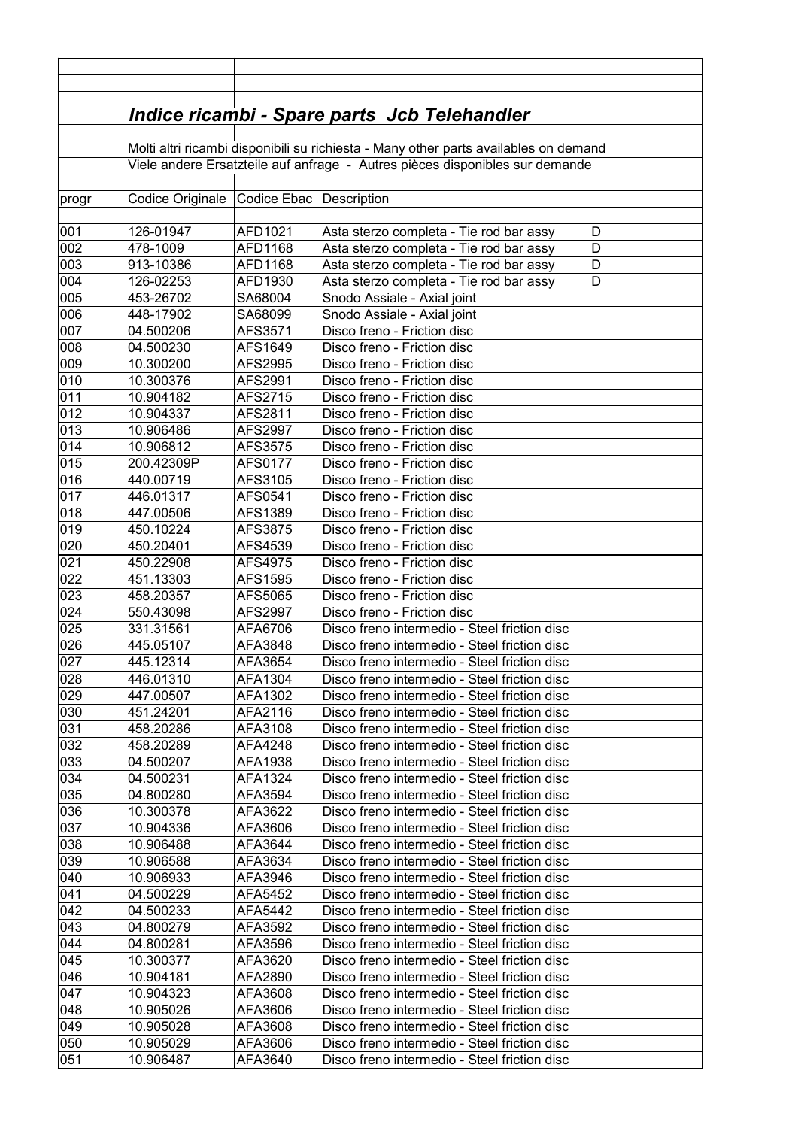|                 |                        |                         | <u> Indice ricambi - Spare parts  Jcb Telehandler </u>                                       |  |
|-----------------|------------------------|-------------------------|----------------------------------------------------------------------------------------------|--|
|                 |                        |                         | Molti altri ricambi disponibili su richiesta - Many other parts availables on demand         |  |
|                 |                        |                         | Viele andere Ersatzteile auf anfrage - Autres pièces disponibles sur demande                 |  |
|                 |                        |                         |                                                                                              |  |
| progr           | Codice Originale       | Codice Ebac Description |                                                                                              |  |
|                 |                        |                         |                                                                                              |  |
| 001             | 126-01947              | AFD1021                 | Asta sterzo completa - Tie rod bar assy<br>D                                                 |  |
| 002             | 478-1009               | AFD1168                 | Asta sterzo completa - Tie rod bar assy<br>D                                                 |  |
| 003             | 913-10386              | AFD1168                 | Asta sterzo completa - Tie rod bar assy<br>D                                                 |  |
| 004             | 126-02253              | AFD1930                 | Asta sterzo completa - Tie rod bar assy<br>D                                                 |  |
| 0 <sub>05</sub> | 453-26702              | SA68004                 | Snodo Assiale - Axial joint                                                                  |  |
| 006             | 448-17902              | SA68099                 | Snodo Assiale - Axial joint                                                                  |  |
| 007             | 04.500206              | AFS3571                 | Disco freno - Friction disc                                                                  |  |
| 008             | 04.500230              | AFS1649                 | Disco freno - Friction disc                                                                  |  |
| 009             | 10.300200              | AFS2995                 | Disco freno - Friction disc                                                                  |  |
| 010             | 10.300376              | AFS2991                 | Disco freno - Friction disc                                                                  |  |
| 011             | 10.904182              | AFS2715                 | Disco freno - Friction disc                                                                  |  |
| 012             | 10.904337              | AFS2811                 | Disco freno - Friction disc                                                                  |  |
| 013             | 10.906486              | <b>AFS2997</b>          | Disco freno - Friction disc                                                                  |  |
| 014             | 10.906812              | AFS3575                 | Disco freno - Friction disc                                                                  |  |
| 015             | 200.42309P             | <b>AFS0177</b>          | Disco freno - Friction disc                                                                  |  |
| 016             | 440.00719<br>446.01317 | AFS3105                 | Disco freno - Friction disc<br>Disco freno - Friction disc                                   |  |
| 017<br>018      | 447.00506              | AFS0541<br>AFS1389      | Disco freno - Friction disc                                                                  |  |
| 019             | 450.10224              | AFS3875                 | Disco freno - Friction disc                                                                  |  |
| 020             | 450.20401              | AFS4539                 | Disco freno - Friction disc                                                                  |  |
| 021             | 450.22908              | AFS4975                 | Disco freno - Friction disc                                                                  |  |
| 022             | 451.13303              | AFS1595                 | Disco freno - Friction disc                                                                  |  |
| 023             | 458.20357              | AFS5065                 | Disco freno - Friction disc                                                                  |  |
| 024             | 550.43098              | AFS2997                 | Disco freno - Friction disc                                                                  |  |
| 025             | 331.31561              | AFA6706                 | Disco freno intermedio - Steel friction disc                                                 |  |
| 026             | 445.05107              | AFA3848                 | Disco freno intermedio - Steel friction disc                                                 |  |
| 027             | 445.12314              | AFA3654                 | Disco freno intermedio - Steel friction disc                                                 |  |
| 028             | 446.01310              | AFA1304                 | Disco freno intermedio - Steel friction disc                                                 |  |
| 029             | 447.00507              | AFA1302                 | Disco freno intermedio - Steel friction disc                                                 |  |
| 030             | 451.24201              | AFA2116                 | Disco freno intermedio - Steel friction disc                                                 |  |
| 031             | 458.20286              | AFA3108                 | Disco freno intermedio - Steel friction disc                                                 |  |
| 032             | 458.20289              | AFA4248                 | Disco freno intermedio - Steel friction disc                                                 |  |
| 033             | 04.500207              | AFA1938                 | Disco freno intermedio - Steel friction disc                                                 |  |
| 034             | 04.500231              | AFA1324                 | Disco freno intermedio - Steel friction disc                                                 |  |
| 035             | 04.800280              | AFA3594                 | Disco freno intermedio - Steel friction disc                                                 |  |
| 036             | 10.300378              | AFA3622                 | Disco freno intermedio - Steel friction disc                                                 |  |
| 037             | 10.904336              | AFA3606                 | Disco freno intermedio - Steel friction disc                                                 |  |
| 038             | 10.906488              | AFA3644                 | Disco freno intermedio - Steel friction disc                                                 |  |
| 039             | 10.906588              | AFA3634                 | Disco freno intermedio - Steel friction disc                                                 |  |
| 040             | 10.906933              | AFA3946                 | Disco freno intermedio - Steel friction disc                                                 |  |
| 041             | 04.500229              | AFA5452                 | Disco freno intermedio - Steel friction disc                                                 |  |
| 042             | 04.500233              | AFA5442                 | Disco freno intermedio - Steel friction disc                                                 |  |
| 043             | 04.800279              | AFA3592                 | Disco freno intermedio - Steel friction disc                                                 |  |
| 044             | 04.800281              | AFA3596                 | Disco freno intermedio - Steel friction disc                                                 |  |
| 045             | 10.300377              | AFA3620                 | Disco freno intermedio - Steel friction disc                                                 |  |
| 046             | 10.904181              | AFA2890                 | Disco freno intermedio - Steel friction disc                                                 |  |
| 047             | 10.904323              | AFA3608                 | Disco freno intermedio - Steel friction disc                                                 |  |
| 048             | 10.905026              | AFA3606                 | Disco freno intermedio - Steel friction disc                                                 |  |
| 049<br>050      | 10.905028<br>10.905029 | AFA3608                 | Disco freno intermedio - Steel friction disc<br>Disco freno intermedio - Steel friction disc |  |
| 051             | 10.906487              | AFA3606<br>AFA3640      | Disco freno intermedio - Steel friction disc                                                 |  |
|                 |                        |                         |                                                                                              |  |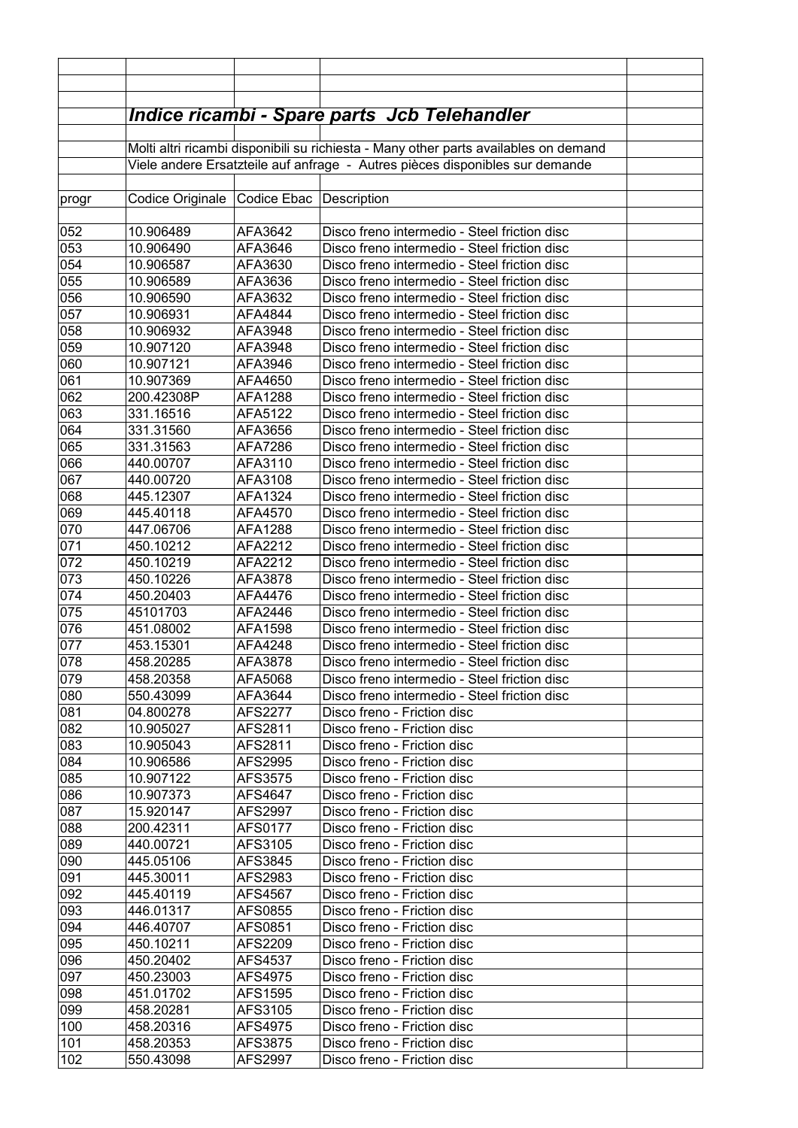|            |                                          |                    | <b>Indice ricambi - Spare parts Jcb Telehandler</b>                                          |  |
|------------|------------------------------------------|--------------------|----------------------------------------------------------------------------------------------|--|
|            |                                          |                    | Molti altri ricambi disponibili su richiesta - Many other parts availables on demand         |  |
|            |                                          |                    | Viele andere Ersatzteile auf anfrage - Autres pièces disponibles sur demande                 |  |
|            |                                          |                    |                                                                                              |  |
| progr      | Codice Originale Codice Ebac Description |                    |                                                                                              |  |
|            |                                          |                    |                                                                                              |  |
| 052        | 10.906489                                | AFA3642            | Disco freno intermedio - Steel friction disc                                                 |  |
| 053        | 10.906490                                | AFA3646            | Disco freno intermedio - Steel friction disc                                                 |  |
| 054        | 10.906587                                | AFA3630            | Disco freno intermedio - Steel friction disc                                                 |  |
| 055        | 10.906589                                | AFA3636            | Disco freno intermedio - Steel friction disc                                                 |  |
| 056        | 10.906590                                | AFA3632            | Disco freno intermedio - Steel friction disc                                                 |  |
| 057        | 10.906931                                | AFA4844            | Disco freno intermedio - Steel friction disc                                                 |  |
| 058        | 10.906932                                | AFA3948            | Disco freno intermedio - Steel friction disc                                                 |  |
| 059        | 10.907120                                | AFA3948            | Disco freno intermedio - Steel friction disc                                                 |  |
| 060        | 10.907121                                | AFA3946            | Disco freno intermedio - Steel friction disc                                                 |  |
| 061        | 10.907369                                | AFA4650            | Disco freno intermedio - Steel friction disc                                                 |  |
| 062        | 200.42308P                               | AFA1288            | Disco freno intermedio - Steel friction disc                                                 |  |
| 063        | 331.16516                                | AFA5122            | Disco freno intermedio - Steel friction disc                                                 |  |
| 064        | 331.31560                                | AFA3656            | Disco freno intermedio - Steel friction disc                                                 |  |
| 065        | 331.31563                                | AFA7286            | Disco freno intermedio - Steel friction disc                                                 |  |
| 066        | 440.00707                                | AFA3110            | Disco freno intermedio - Steel friction disc                                                 |  |
| 067<br>068 | 440.00720                                | AFA3108            | Disco freno intermedio - Steel friction disc<br>Disco freno intermedio - Steel friction disc |  |
| 069        | 445.12307<br>445.40118                   | AFA1324<br>AFA4570 | Disco freno intermedio - Steel friction disc                                                 |  |
| 070        | 447.06706                                | AFA1288            | Disco freno intermedio - Steel friction disc                                                 |  |
| 071        | 450.10212                                | AFA2212            | Disco freno intermedio - Steel friction disc                                                 |  |
| 072        | 450.10219                                | AFA2212            | Disco freno intermedio - Steel friction disc                                                 |  |
| 073        | 450.10226                                | AFA3878            | Disco freno intermedio - Steel friction disc                                                 |  |
| 074        | 450.20403                                | AFA4476            | Disco freno intermedio - Steel friction disc                                                 |  |
| 075        | 45101703                                 | AFA2446            | Disco freno intermedio - Steel friction disc                                                 |  |
| 076        | 451.08002                                | AFA1598            | Disco freno intermedio - Steel friction disc                                                 |  |
| 077        | 453.15301                                | AFA4248            | Disco freno intermedio - Steel friction disc                                                 |  |
| 078        | 458.20285                                | AFA3878            | Disco freno intermedio - Steel friction disc                                                 |  |
| 079        | 458.20358                                | AFA5068            | Disco freno intermedio - Steel friction disc                                                 |  |
| 080        | 550.43099                                | AFA3644            | Disco freno intermedio - Steel friction disc                                                 |  |
| 081        | 04.800278                                | AFS2277            | Disco freno - Friction disc                                                                  |  |
| 082        | 10.905027                                | AFS2811            | Disco freno - Friction disc                                                                  |  |
| 083        | 10.905043                                | AFS2811            | Disco freno - Friction disc                                                                  |  |
| 084        | 10.906586                                | AFS2995            | Disco freno - Friction disc                                                                  |  |
| 085        | 10.907122                                | AFS3575            | Disco freno - Friction disc                                                                  |  |
| 086        | 10.907373                                | AFS4647            | Disco freno - Friction disc                                                                  |  |
| 087        | 15.920147                                | AFS2997            | Disco freno - Friction disc                                                                  |  |
| 088        | 200.42311                                | <b>AFS0177</b>     | Disco freno - Friction disc                                                                  |  |
| 089<br>090 | 440.00721<br>445.05106                   | AFS3105<br>AFS3845 | Disco freno - Friction disc<br>Disco freno - Friction disc                                   |  |
| 091        | 445.30011                                | AFS2983            | Disco freno - Friction disc                                                                  |  |
| 092        | 445.40119                                | AFS4567            | Disco freno - Friction disc                                                                  |  |
| 093        | 446.01317                                | AFS0855            | Disco freno - Friction disc                                                                  |  |
| 094        | 446.40707                                | AFS0851            | Disco freno - Friction disc                                                                  |  |
| 095        | 450.10211                                | AFS2209            | Disco freno - Friction disc                                                                  |  |
| 096        | 450.20402                                | AFS4537            | Disco freno - Friction disc                                                                  |  |
| 097        | 450.23003                                | AFS4975            | Disco freno - Friction disc                                                                  |  |
| 098        | 451.01702                                | AFS1595            | Disco freno - Friction disc                                                                  |  |
| 099        | 458.20281                                | AFS3105            | Disco freno - Friction disc                                                                  |  |
| 100        | 458.20316                                | AFS4975            | Disco freno - Friction disc                                                                  |  |
| 101        | 458.20353                                | AFS3875            | Disco freno - Friction disc                                                                  |  |
| 102        | 550.43098                                | AFS2997            | Disco freno - Friction disc                                                                  |  |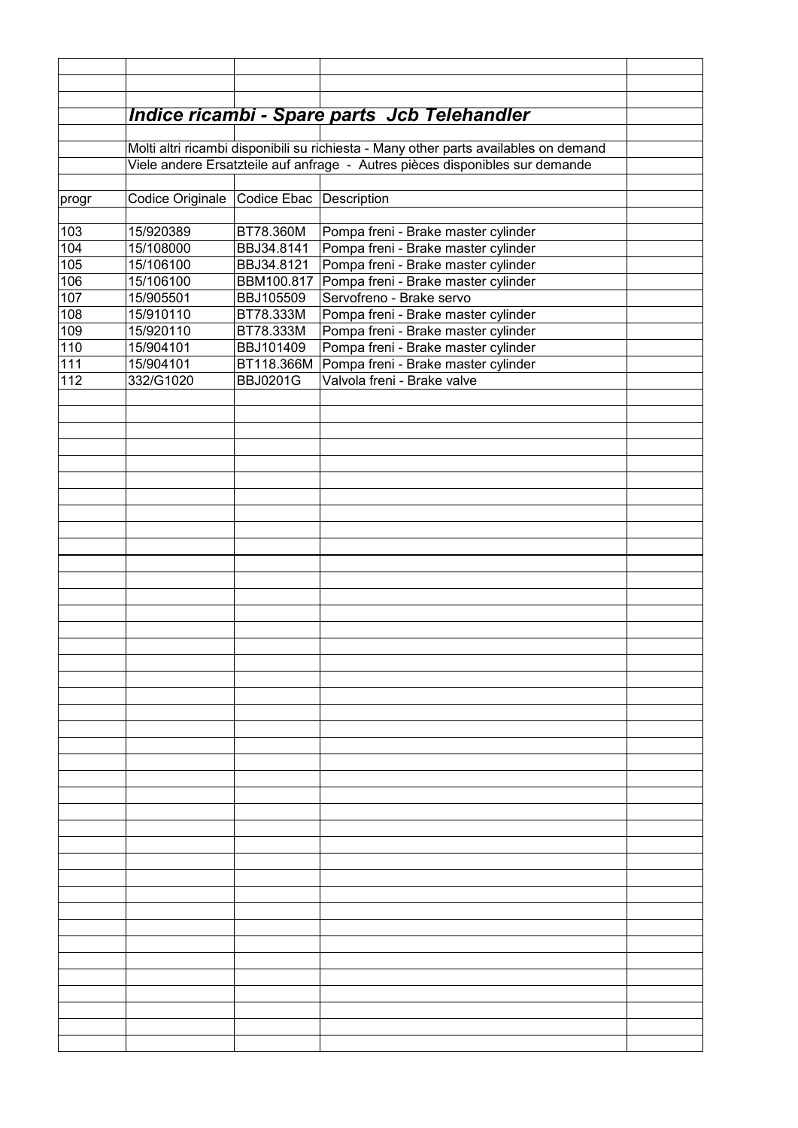|            |                  |                         | Indice ricambi - Spare parts Jcb Telehandler                                         |  |
|------------|------------------|-------------------------|--------------------------------------------------------------------------------------|--|
|            |                  |                         |                                                                                      |  |
|            |                  |                         | Molti altri ricambi disponibili su richiesta - Many other parts availables on demand |  |
|            |                  |                         | Viele andere Ersatzteile auf anfrage - Autres pièces disponibles sur demande         |  |
|            |                  |                         |                                                                                      |  |
| progr      | Codice Originale | Codice Ebac Description |                                                                                      |  |
|            |                  |                         |                                                                                      |  |
| 103        | 15/920389        | BT78.360M               | Pompa freni - Brake master cylinder                                                  |  |
| 104        | 15/108000        | BBJ34.8141              | Pompa freni - Brake master cylinder                                                  |  |
| 105        | 15/106100        | BBJ34.8121              | Pompa freni - Brake master cylinder                                                  |  |
| 106        | 15/106100        | BBM100.817              | Pompa freni - Brake master cylinder                                                  |  |
| 107        | 15/905501        | BBJ105509               | Servofreno - Brake servo                                                             |  |
| 108        | 15/910110        | BT78.333M               | Pompa freni - Brake master cylinder                                                  |  |
| 109        | 15/920110        | BT78.333M               | Pompa freni - Brake master cylinder                                                  |  |
| 110        | 15/904101        | BBJ101409               | Pompa freni - Brake master cylinder                                                  |  |
|            |                  |                         |                                                                                      |  |
| 111<br>112 | 15/904101        | BT118.366M              | Pompa freni - Brake master cylinder<br>Valvola freni - Brake valve                   |  |
|            | 332/G1020        | <b>BBJ0201G</b>         |                                                                                      |  |
|            |                  |                         |                                                                                      |  |
|            |                  |                         |                                                                                      |  |
|            |                  |                         |                                                                                      |  |
|            |                  |                         |                                                                                      |  |
|            |                  |                         |                                                                                      |  |
|            |                  |                         |                                                                                      |  |
|            |                  |                         |                                                                                      |  |
|            |                  |                         |                                                                                      |  |
|            |                  |                         |                                                                                      |  |
|            |                  |                         |                                                                                      |  |
|            |                  |                         |                                                                                      |  |
|            |                  |                         |                                                                                      |  |
|            |                  |                         |                                                                                      |  |
|            |                  |                         |                                                                                      |  |
|            |                  |                         |                                                                                      |  |
|            |                  |                         |                                                                                      |  |
|            |                  |                         |                                                                                      |  |
|            |                  |                         |                                                                                      |  |
|            |                  |                         |                                                                                      |  |
|            |                  |                         |                                                                                      |  |
|            |                  |                         |                                                                                      |  |
|            |                  |                         |                                                                                      |  |
|            |                  |                         |                                                                                      |  |
|            |                  |                         |                                                                                      |  |
|            |                  |                         |                                                                                      |  |
|            |                  |                         |                                                                                      |  |
|            |                  |                         |                                                                                      |  |
|            |                  |                         |                                                                                      |  |
|            |                  |                         |                                                                                      |  |
|            |                  |                         |                                                                                      |  |
|            |                  |                         |                                                                                      |  |
|            |                  |                         |                                                                                      |  |
|            |                  |                         |                                                                                      |  |
|            |                  |                         |                                                                                      |  |
|            |                  |                         |                                                                                      |  |
|            |                  |                         |                                                                                      |  |
|            |                  |                         |                                                                                      |  |
|            |                  |                         |                                                                                      |  |
|            |                  |                         |                                                                                      |  |
|            |                  |                         |                                                                                      |  |
|            |                  |                         |                                                                                      |  |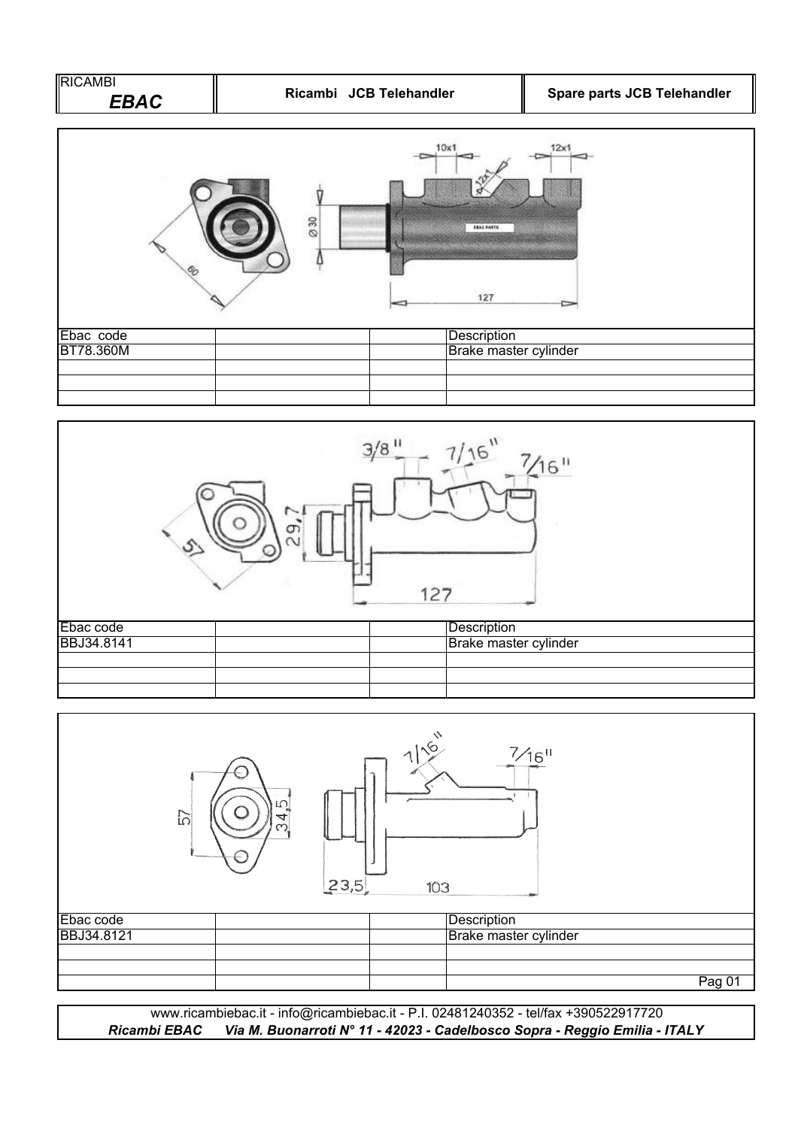| Ricambi JCB Telehandler                      | Spare parts JCB Telehandler          |
|----------------------------------------------|--------------------------------------|
| 10x1<br>Ø30<br><b>ERAC PARTS</b><br>Λ<br>127 | 12x1                                 |
| Description                                  |                                      |
| $3/8$ <sup>11</sup><br>7/16''                | $\frac{7}{16}$ "                     |
| $\overline{9}$<br>127                        |                                      |
|                                              | Brake master cylinder<br>Description |

| Ebac code         |  | Description           |
|-------------------|--|-----------------------|
| <b>BBJ34.8141</b> |  | Brake master cylinder |
|                   |  |                       |
|                   |  |                       |
|                   |  |                       |



*Ricambi EBAC Via M. Buonarroti N° 11 - 42023 - Cadelbosco Sopra - Reggio Emilia - ITALY* www.ricambiebac.it - info@ricambiebac.it - P.I. 02481240352 - tel/fax +390522917720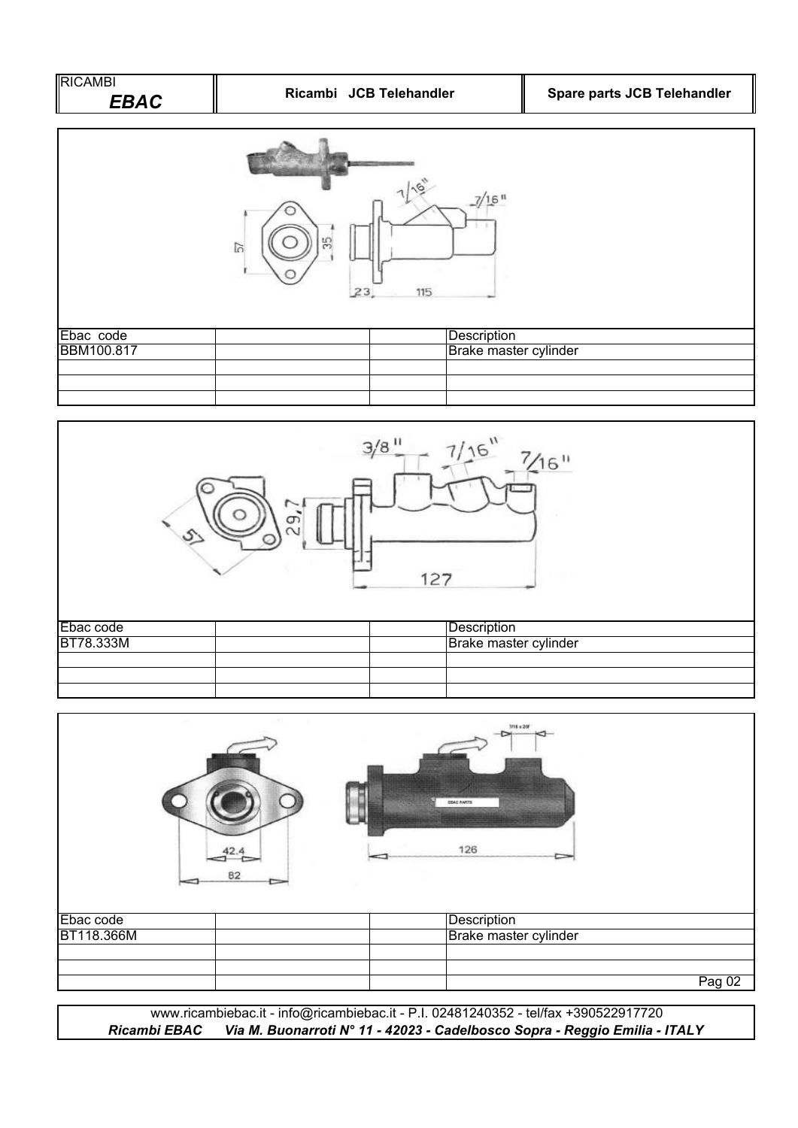



|            | 82 | 3/18 x 20F<br><b>EDAS FARTS</b><br>126 |        |
|------------|----|----------------------------------------|--------|
| Ebac code  |    | Description                            |        |
| BT118.366M |    | Brake master cylinder                  |        |
|            |    |                                        |        |
|            |    |                                        | Pag 02 |
|            |    |                                        |        |

www.ricambiebac.it - info@ricambiebac.it - P.I. 02481240352 - tel/fax +390522917720 *Ricambi EBAC Via M. Buonarroti N° 11 - 42023 - Cadelbosco Sopra - Reggio Emilia - ITALY*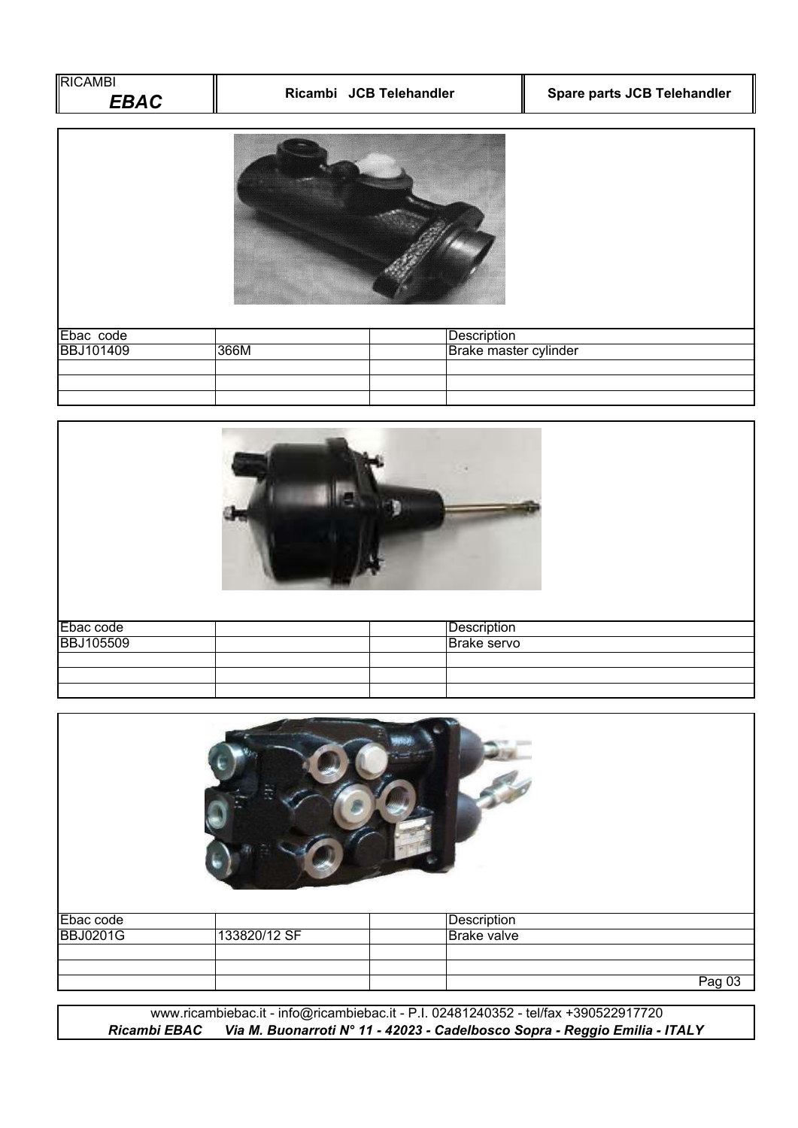| <b>RICAMBI</b><br><b>EBAC</b> |      | Ricambi JCB Telehandler | Spare parts JCB Telehandler |
|-------------------------------|------|-------------------------|-----------------------------|
|                               |      |                         |                             |
| Ebac code                     |      | Description             |                             |
| <b>BBJ101409</b>              | 366M | Brake master cylinder   |                             |
|                               |      |                         |                             |
|                               |      |                         |                             |
|                               |      |                         |                             |

| Ebac code        | Description |  |
|------------------|-------------|--|
| <b>BBJ105509</b> | Brake servo |  |
|                  |             |  |
|                  |             |  |
|                  |             |  |

| Ebac code       |              | Description        |        |
|-----------------|--------------|--------------------|--------|
| <b>BBJ0201G</b> | 133820/12 SF | <b>Brake valve</b> |        |
|                 |              |                    |        |
|                 |              |                    |        |
|                 |              |                    | Pag 03 |

www.ricambiebac.it - info@ricambiebac.it - P.I. 02481240352 - tel/fax +390522917720 *Ricambi EBAC Via M. Buonarroti N° 11 - 42023 - Cadelbosco Sopra - Reggio Emilia - ITALY*